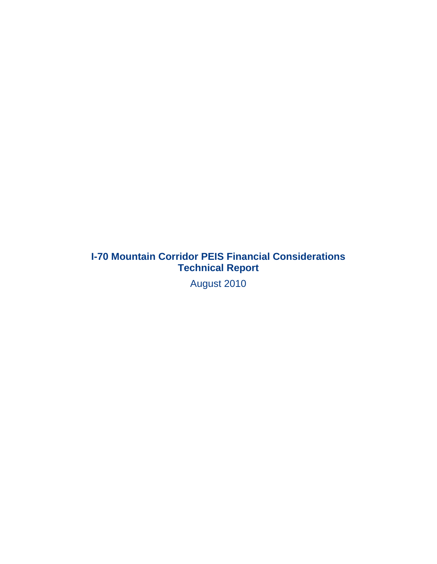# **I-70 Mountain Corridor PEIS Financial Considerations Technical Report**

August 2010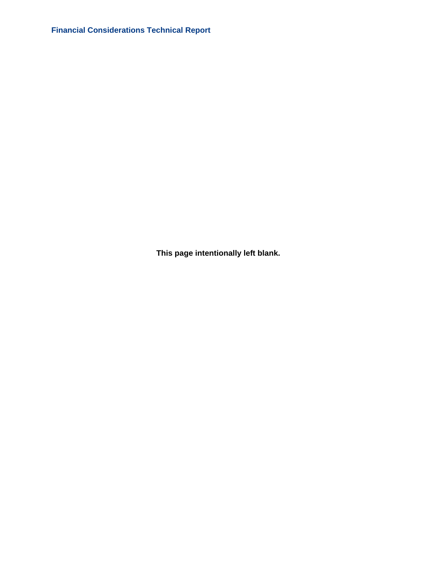**This page intentionally left blank.**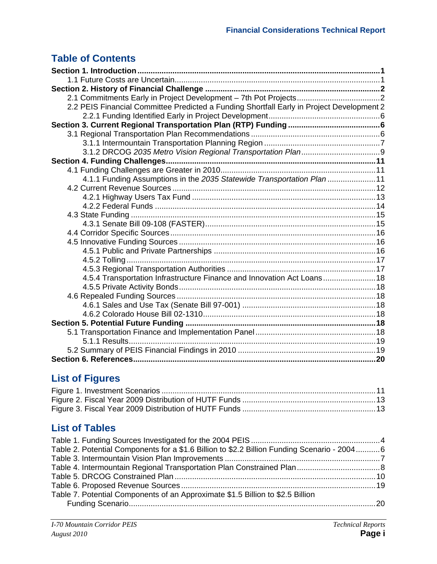# **Table of Contents**

| 2.2 PEIS Financial Committee Predicted a Funding Shortfall Early in Project Development 2 |  |
|-------------------------------------------------------------------------------------------|--|
|                                                                                           |  |
|                                                                                           |  |
|                                                                                           |  |
|                                                                                           |  |
|                                                                                           |  |
|                                                                                           |  |
|                                                                                           |  |
| 4.1.1 Funding Assumptions in the 2035 Statewide Transportation Plan 11                    |  |
|                                                                                           |  |
|                                                                                           |  |
|                                                                                           |  |
|                                                                                           |  |
|                                                                                           |  |
|                                                                                           |  |
|                                                                                           |  |
|                                                                                           |  |
|                                                                                           |  |
|                                                                                           |  |
| 4.5.4 Transportation Infrastructure Finance and Innovation Act Loans 18                   |  |
|                                                                                           |  |
|                                                                                           |  |
|                                                                                           |  |
|                                                                                           |  |
|                                                                                           |  |
|                                                                                           |  |
|                                                                                           |  |
|                                                                                           |  |
|                                                                                           |  |

# **List of Figures**

# **List of Tables**

| Table 2. Potential Components for a \$1.6 Billion to \$2.2 Billion Funding Scenario - 20046 |  |
|---------------------------------------------------------------------------------------------|--|
|                                                                                             |  |
|                                                                                             |  |
|                                                                                             |  |
|                                                                                             |  |
| Table 7. Potential Components of an Approximate \$1.5 Billion to \$2.5 Billion              |  |
|                                                                                             |  |
|                                                                                             |  |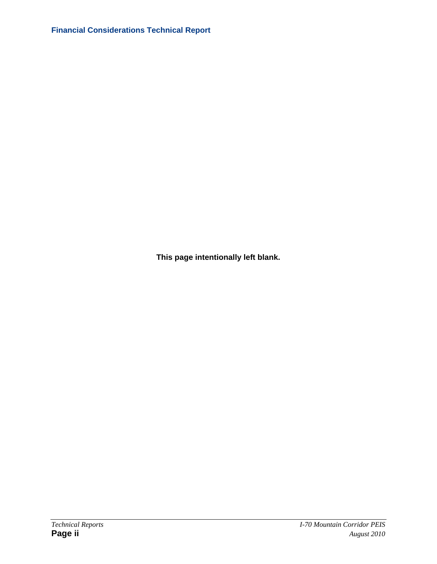**This page intentionally left blank.**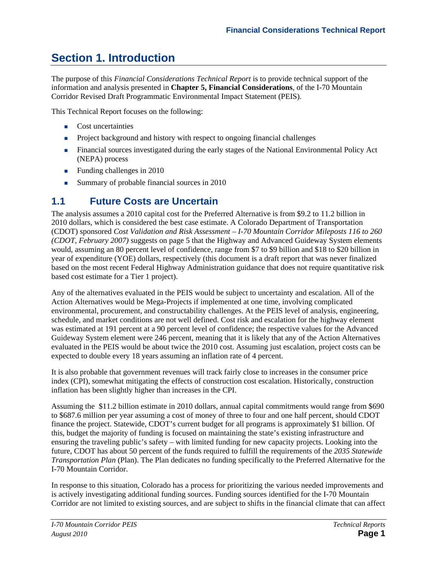# <span id="page-4-0"></span>**Section 1. Introduction**

The purpose of this *Financial Considerations Technical Report* is to provide technical support of the information and analysis presented in **Chapter 5, Financial Considerations**, of the I-70 Mountain Corridor Revised Draft Programmatic Environmental Impact Statement (PEIS).

This Technical Report focuses on the following:

- Cost uncertainties
- **Project background and history with respect to ongoing financial challenges**
- Financial sources investigated during the early stages of the National Environmental Policy Act (NEPA) process
- Funding challenges in  $2010$
- Summary of probable financial sources in 2010

### <span id="page-4-1"></span>**1.1 Future Costs are Uncertain**

The analysis assumes a 2010 capital cost for the Preferred Alternative is from \$9.2 to 11.2 billion in 2010 dollars, which is considered the best case estimate. A Colorado Department of Transportation (CDOT) sponsored *Cost Validation and Risk Assessment – I-70 Mountain Corridor Mileposts 116 to 260 (CDOT, February 2007)* suggests on page 5 that the Highway and Advanced Guideway System elements would, assuming an 80 percent level of confidence, range from \$7 to \$9 billion and \$18 to \$20 billion in year of expenditure (YOE) dollars, respectively (this document is a draft report that was never finalized based on the most recent Federal Highway Administration guidance that does not require quantitative risk based cost estimate for a Tier 1 project).

Any of the alternatives evaluated in the PEIS would be subject to uncertainty and escalation. All of the Action Alternatives would be Mega-Projects if implemented at one time, involving complicated environmental, procurement, and constructability challenges. At the PEIS level of analysis, engineering, schedule, and market conditions are not well defined. Cost risk and escalation for the highway element was estimated at 191 percent at a 90 percent level of confidence; the respective values for the Advanced Guideway System element were 246 percent, meaning that it is likely that any of the Action Alternatives evaluated in the PEIS would be about twice the 2010 cost. Assuming just escalation, project costs can be expected to double every 18 years assuming an inflation rate of 4 percent.

It is also probable that government revenues will track fairly close to increases in the consumer price index (CPI), somewhat mitigating the effects of construction cost escalation. Historically, construction inflation has been slightly higher than increases in the CPI.

Assuming the \$11.2 billion estimate in 2010 dollars, annual capital commitments would range from \$690 to \$687.6 million per year assuming a cost of money of three to four and one half percent, should CDOT finance the project. Statewide, CDOT's current budget for all programs is approximately \$1 billion. Of this, budget the majority of funding is focused on maintaining the state's existing infrastructure and ensuring the traveling public's safety – with limited funding for new capacity projects. Looking into the future, CDOT has about 50 percent of the funds required to fulfill the requirements of the *2035 Statewide Transportation Plan* (Plan). The Plan dedicates no funding specifically to the Preferred Alternative for the I-70 Mountain Corridor.

In response to this situation, Colorado has a process for prioritizing the various needed improvements and is actively investigating additional funding sources. Funding sources identified for the I-70 Mountain Corridor are not limited to existing sources, and are subject to shifts in the financial climate that can affect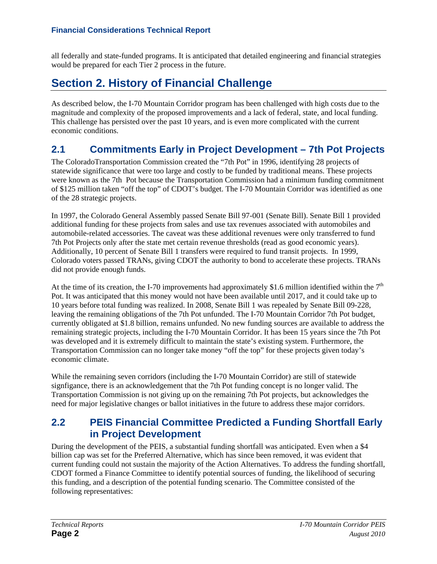all federally and state-funded programs. It is anticipated that detailed engineering and financial strategies would be prepared for each Tier 2 process in the future.

# <span id="page-5-0"></span>**Section 2. History of Financial Challenge**

As described below, the I-70 Mountain Corridor program has been challenged with high costs due to the magnitude and complexity of the proposed improvements and a lack of federal, state, and local funding. This challenge has persisted over the past 10 years, and is even more complicated with the current economic conditions.

# **2.1 Commitments Early in Project Development – 7th Pot Projects**

<span id="page-5-1"></span>The ColoradoTransportation Commission created the "7th Pot" in 1996, identifying 28 projects of statewide significance that were too large and costly to be funded by traditional means. These projects were known as the 7th Pot because the Transportation Commission had a minimum funding commitment of \$125 million taken "off the top" of CDOT's budget. The I-70 Mountain Corridor was identified as one of the 28 strategic projects.

In 1997, the Colorado General Assembly passed Senate Bill 97-001 (Senate Bill). Senate Bill 1 provided additional funding for these projects from sales and use tax revenues associated with automobiles and automobile-related accessories. The caveat was these additional revenues were only transferred to fund 7th Pot Projects only after the state met certain revenue thresholds (read as good economic years). Additionally, 10 percent of Senate Bill 1 transfers were required to fund transit projects. In 1999, Colorado voters passed TRANs, giving CDOT the authority to bond to accelerate these projects. TRANs did not provide enough funds.

At the time of its creation, the I-70 improvements had approximately \$1.6 million identified within the  $7<sup>th</sup>$ Pot. It was anticipated that this money would not have been available until 2017, and it could take up to 10 years before total funding was realized. In 2008, Senate Bill 1 was repealed by Senate Bill 09-228, leaving the remaining obligations of the 7th Pot unfunded. The I-70 Mountain Corridor 7th Pot budget, currently obligated at \$1.8 billion, remains unfunded. No new funding sources are available to address the remaining strategic projects, including the I-70 Mountain Corridor. It has been 15 years since the 7th Pot was developed and it is extremely difficult to maintain the state's existing system. Furthermore, the Transportation Commission can no longer take money "off the top" for these projects given today's economic climate.

While the remaining seven corridors (including the I-70 Mountain Corridor) are still of statewide signfigance, there is an acknowledgement that the 7th Pot funding concept is no longer valid. The Transportation Commission is not giving up on the remaining 7th Pot projects, but acknowledges the need for major legislative changes or ballot initiatives in the future to address these major corridors.

## <span id="page-5-2"></span>**2.2 PEIS Financial Committee Predicted a Funding Shortfall Early in Project Development**

During the development of the PEIS, a substantial funding shortfall was anticipated. Even when a \$4 billion cap was set for the Preferred Alternative, which has since been removed, it was evident that current funding could not sustain the majority of the Action Alternatives. To address the funding shortfall, CDOT formed a Finance Committee to identify potential sources of funding, the likelihood of securing this funding, and a description of the potential funding scenario. The Committee consisted of the following representatives: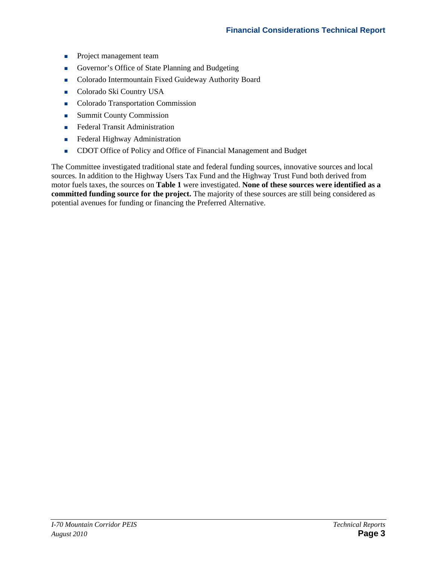- **Project management team**
- Governor's Office of State Planning and Budgeting
- **Colorado Intermountain Fixed Guideway Authority Board**
- Colorado Ski Country USA
- Colorado Transportation Commission
- **Summit County Commission**
- **Federal Transit Administration**
- **Federal Highway Administration**
- **CDOT Office of Policy and Office of Financial Management and Budget**

The Committee investigated traditional state and federal funding sources, innovative sources and local sources. In addition to the Highway Users Tax Fund and the Highway Trust Fund both derived from motor fuels taxes, the sources on **[Table 1](#page-7-0)** were investigated. **None of these sources were identified as a committed funding source for the project.** The majority of these sources are still being considered as potential avenues for funding or financing the Preferred Alternative.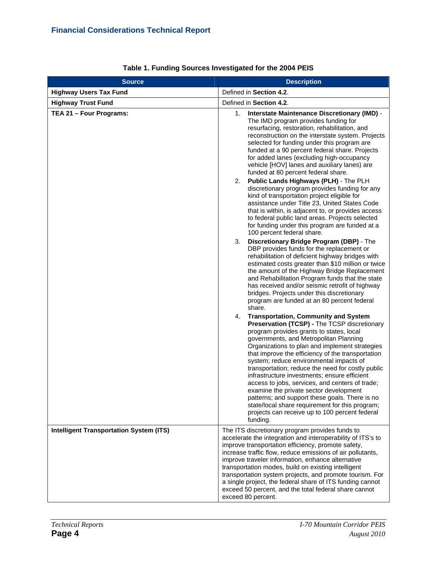<span id="page-7-0"></span>

| <b>Source</b>                                  | <b>Description</b>                                                                                                                                                                                                                                                                                                                                                                                                                                                                                                                                                                                                                                                                                             |  |  |
|------------------------------------------------|----------------------------------------------------------------------------------------------------------------------------------------------------------------------------------------------------------------------------------------------------------------------------------------------------------------------------------------------------------------------------------------------------------------------------------------------------------------------------------------------------------------------------------------------------------------------------------------------------------------------------------------------------------------------------------------------------------------|--|--|
| <b>Highway Users Tax Fund</b>                  | Defined in Section 4.2.                                                                                                                                                                                                                                                                                                                                                                                                                                                                                                                                                                                                                                                                                        |  |  |
| <b>Highway Trust Fund</b>                      | Defined in Section 4.2.                                                                                                                                                                                                                                                                                                                                                                                                                                                                                                                                                                                                                                                                                        |  |  |
| TEA 21 - Four Programs:                        | 1.<br>Interstate Maintenance Discretionary (IMD) -<br>The IMD program provides funding for<br>resurfacing, restoration, rehabilitation, and<br>reconstruction on the interstate system. Projects<br>selected for funding under this program are<br>funded at a 90 percent federal share. Projects<br>for added lanes (excluding high-occupancy<br>vehicle [HOV] lanes and auxiliary lanes) are<br>funded at 80 percent federal share.                                                                                                                                                                                                                                                                          |  |  |
|                                                | Public Lands Highways (PLH) - The PLH<br>2.<br>discretionary program provides funding for any<br>kind of transportation project eligible for<br>assistance under Title 23, United States Code<br>that is within, is adjacent to, or provides access<br>to federal public land areas. Projects selected<br>for funding under this program are funded at a<br>100 percent federal share.                                                                                                                                                                                                                                                                                                                         |  |  |
|                                                | Discretionary Bridge Program (DBP) - The<br>3.<br>DBP provides funds for the replacement or<br>rehabilitation of deficient highway bridges with<br>estimated costs greater than \$10 million or twice<br>the amount of the Highway Bridge Replacement<br>and Rehabilitation Program funds that the state<br>has received and/or seismic retrofit of highway<br>bridges. Projects under this discretionary<br>program are funded at an 80 percent federal<br>share.                                                                                                                                                                                                                                             |  |  |
|                                                | <b>Transportation, Community and System</b><br>4.<br>Preservation (TCSP) - The TCSP discretionary<br>program provides grants to states, local<br>governments, and Metropolitan Planning<br>Organizations to plan and implement strategies<br>that improve the efficiency of the transportation<br>system; reduce environmental impacts of<br>transportation; reduce the need for costly public<br>infrastructure investments; ensure efficient<br>access to jobs, services, and centers of trade;<br>examine the private sector development<br>patterns; and support these goals. There is no<br>state/local share requirement for this program;<br>projects can receive up to 100 percent federal<br>funding. |  |  |
| <b>Intelligent Transportation System (ITS)</b> | The ITS discretionary program provides funds to<br>accelerate the integration and interoperability of ITS's to<br>improve transportation efficiency, promote safety,<br>increase traffic flow, reduce emissions of air pollutants,<br>improve traveler information, enhance alternative<br>transportation modes, build on existing intelligent<br>transportation system projects, and promote tourism. For<br>a single project, the federal share of ITS funding cannot<br>exceed 50 percent, and the total federal share cannot<br>exceed 80 percent.                                                                                                                                                         |  |  |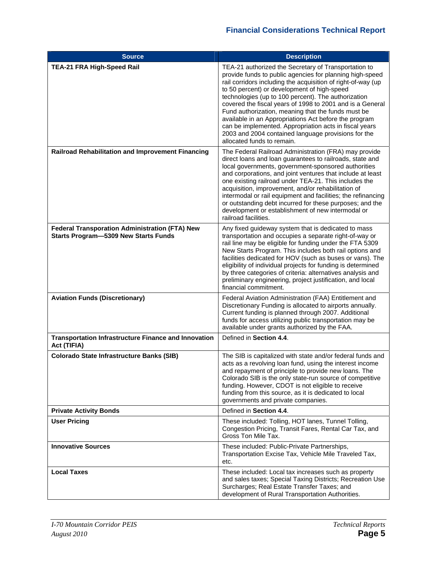### **Financial Considerations Technical Report**

| <b>Source</b>                                                                                        | <b>Description</b>                                                                                                                                                                                                                                                                                                                                                                                                                                                                                                                                                                                                |
|------------------------------------------------------------------------------------------------------|-------------------------------------------------------------------------------------------------------------------------------------------------------------------------------------------------------------------------------------------------------------------------------------------------------------------------------------------------------------------------------------------------------------------------------------------------------------------------------------------------------------------------------------------------------------------------------------------------------------------|
| <b>TEA-21 FRA High-Speed Rail</b>                                                                    | TEA-21 authorized the Secretary of Transportation to<br>provide funds to public agencies for planning high-speed<br>rail corridors including the acquisition of right-of-way (up<br>to 50 percent) or development of high-speed<br>technologies (up to 100 percent). The authorization<br>covered the fiscal years of 1998 to 2001 and is a General<br>Fund authorization, meaning that the funds must be<br>available in an Appropriations Act before the program<br>can be implemented. Appropriation acts in fiscal years<br>2003 and 2004 contained language provisions for the<br>allocated funds to remain. |
| <b>Railroad Rehabilitation and Improvement Financing</b>                                             | The Federal Railroad Administration (FRA) may provide<br>direct loans and loan guarantees to railroads, state and<br>local governments, government-sponsored authorities<br>and corporations, and joint ventures that include at least<br>one existing railroad under TEA-21. This includes the<br>acquisition, improvement, and/or rehabilitation of<br>intermodal or rail equipment and facilities; the refinancing<br>or outstanding debt incurred for these purposes; and the<br>development or establishment of new intermodal or<br>railroad facilities.                                                    |
| <b>Federal Transporation Administration (FTA) New</b><br><b>Starts Program-5309 New Starts Funds</b> | Any fixed guideway system that is dedicated to mass<br>transportation and occupies a separate right-of-way or<br>rail line may be eligible for funding under the FTA 5309<br>New Starts Program. This includes both rail options and<br>facilities dedicated for HOV (such as buses or vans). The<br>eligibility of individual projects for funding is determined<br>by three categories of criteria: alternatives analysis and<br>preliminary engineering, project justification, and local<br>financial commitment.                                                                                             |
| <b>Aviation Funds (Discretionary)</b>                                                                | Federal Aviation Administration (FAA) Entitlement and<br>Discretionary Funding is allocated to airports annually.<br>Current funding is planned through 2007. Additional<br>funds for access utilizing public transportation may be<br>available under grants authorized by the FAA.                                                                                                                                                                                                                                                                                                                              |
| <b>Transportation Infrastructure Finance and Innovation</b><br>Act (TIFIA)                           | Defined in Section 4.4.                                                                                                                                                                                                                                                                                                                                                                                                                                                                                                                                                                                           |
| <b>Colorado State Infrastructure Banks (SIB)</b>                                                     | The SIB is capitalized with state and/or federal funds and<br>acts as a revolving loan fund, using the interest income<br>and repayment of principle to provide new loans. The<br>Colorado SIB is the only state-run source of competitive<br>funding. However, CDOT is not eligible to receive<br>funding from this source, as it is dedicated to local<br>governments and private companies.                                                                                                                                                                                                                    |
| <b>Private Activity Bonds</b>                                                                        | Defined in Section 4.4.                                                                                                                                                                                                                                                                                                                                                                                                                                                                                                                                                                                           |
| <b>User Pricing</b>                                                                                  | These included: Tolling, HOT lanes, Tunnel Tolling,<br>Congestion Pricing, Transit Fares, Rental Car Tax, and<br>Gross Ton Mile Tax.                                                                                                                                                                                                                                                                                                                                                                                                                                                                              |
| <b>Innovative Sources</b>                                                                            | These included: Public-Private Partnerships,<br>Transportation Excise Tax, Vehicle Mile Traveled Tax,<br>etc.                                                                                                                                                                                                                                                                                                                                                                                                                                                                                                     |
| <b>Local Taxes</b>                                                                                   | These included: Local tax increases such as property<br>and sales taxes; Special Taxing Districts; Recreation Use<br>Surcharges; Real Estate Transfer Taxes; and<br>development of Rural Transportation Authorities.                                                                                                                                                                                                                                                                                                                                                                                              |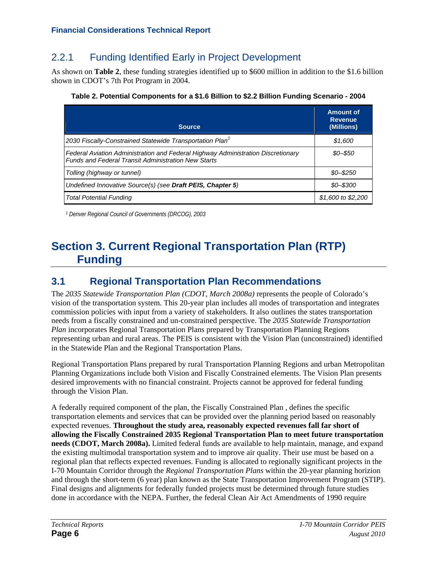# <span id="page-9-0"></span>2.2.1 Funding Identified Early in Project Development

<span id="page-9-3"></span>As shown on **[Table 2](#page-9-3)**, these funding strategies identified up to \$600 million in addition to the \$1.6 billion shown in CDOT's 7th Pot Program in 2004.

| <b>Source</b>                                                                                                                                  | <b>Amount of</b><br><b>Revenue</b><br>(Millions) |
|------------------------------------------------------------------------------------------------------------------------------------------------|--------------------------------------------------|
| 2030 Fiscally-Constrained Statewide Transportation Plan <sup>1</sup>                                                                           | \$1,600                                          |
| Federal Aviation Administration and Federal Highway Administration Discretionary<br><b>Funds and Federal Transit Administration New Starts</b> | \$0-\$50                                         |
| Tolling (highway or tunnel)                                                                                                                    | $$0 - $250$                                      |
| Undefined Innovative Source(s) (see Draft PEIS, Chapter 5)                                                                                     | $$0 - $300$                                      |
| <b>Total Potential Funding</b>                                                                                                                 | \$1,600 to \$2,200                               |

#### **Table 2. Potential Components for a \$1.6 Billion to \$2.2 Billion Funding Scenario - 2004**

*1 Denver Regional Council of Governments (DRCOG), 2003* 

# <span id="page-9-1"></span>**Section 3. Current Regional Transportation Plan (RTP) Funding**

## **3.1 Regional Transportation Plan Recommendations**

<span id="page-9-2"></span>The *2035 Statewide Transportation Plan (CDOT, March 2008a)* represents the people of Colorado's vision of the transportation system. This 20-year plan includes all modes of transportation and integrates commission policies with input from a variety of stakeholders. It also outlines the states transportation needs from a fiscally constrained and un-constrained perspective. The *2035 Statewide Transportation Plan* incorporates Regional Transportation Plans prepared by Transportation Planning Regions representing urban and rural areas. The PEIS is consistent with the Vision Plan (unconstrained) identified in the Statewide Plan and the Regional Transportation Plans.

Regional Transportation Plans prepared by rural Transportation Planning Regions and urban Metropolitan Planning Organizations include both Vision and Fiscally Constrained elements. The Vision Plan presents desired improvements with no financial constraint. Projects cannot be approved for federal funding through the Vision Plan.

A federally required component of the plan, the Fiscally Constrained Plan , defines the specific transportation elements and services that can be provided over the planning period based on reasonably expected revenues. **Throughout the study area, reasonably expected revenues fall far short of allowing the Fiscally Constrained 2035 Regional Transportation Plan to meet future transportation needs (CDOT, March 2008a).** Limited federal funds are available to help maintain, manage, and expand the existing multimodal transportation system and to improve air quality. Their use must be based on a regional plan that reflects expected revenues. Funding is allocated to regionally significant projects in the I-70 Mountain Corridor through the *Regional Transportation Plans* within the 20-year planning horizion and through the short-term (6 year) plan known as the State Transportation Improvement Program (STIP). Final designs and alignments for federally funded projects must be determined through future studies done in accordance with the NEPA. Further, the federal Clean Air Act Amendments of 1990 require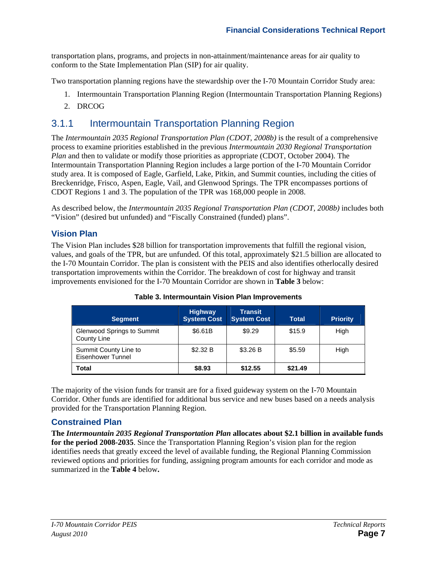transportation plans, programs, and projects in non-attainment/ maintenance areas for air quality to conform to the State Implementation Plan (SIP) for air quality.

Two transportation planning regions have the stewardship over the I-70 Mountain Corridor Study area:

- 1. Intermountain Transportation Planning Region (Intermountain Transportation Planning Regions)
- 2. DRCOG

### <span id="page-10-0"></span>3.1.1 Intermountain Transportation Planning Region

The *Intermountain 2035 Regional Transportation Plan (CDOT, 2008b)* is the result of a comprehensive process to examine priorities established in the previous *Intermountain 2030 Regional Transportation Plan* and then to validate or modify those priorities as appropriate (CDOT, October 2004). The Intermountain Transportation Planning Region includes a large portion of the I-70 Mountain Corridor study area. It is composed of Eagle, Garfield, Lake, Pitkin, and Summit counties, including the cities of Breckenridge, Frisco, Aspen, Eagle, Vail, and Glenwood Springs. The TPR encompasses portions of CDOT Regions 1 and 3. The population of the TPR was 168,000 people in 2008.

As described below, the *Intermountain 2035 Regional Transportation Plan (CDOT, 2008b)* includes both "Vision" (desired but unfunded) and "Fiscally Constrained (funded) plans".

#### **Vision Plan**

The Vision Plan includes \$28 billion for transportation improvements that fulfill the regional vision, values, and goals of the TPR, but are unfunded. Of this total, approximately \$21.5 billion are allocated to the I-70 Mountain Corridor. The plan is consistent with the PEIS and also identifies otherlocally desired transportation improvements within the Corridor. The breakdown of cost for highway and transit improvements envisioned for the I-70 Mountain Corridor are shown in **[Table 3](#page-10-1)** below:

<span id="page-10-1"></span>

| <b>Segment</b>                             | <b>Highway</b><br><b>System Cost</b> | <b>Transit</b><br><b>System Cost</b> | Total   | <b>Priority</b> |
|--------------------------------------------|--------------------------------------|--------------------------------------|---------|-----------------|
| Glenwood Springs to Summit<br>County Line  | \$6.61B                              | \$9.29                               | \$15.9  | High            |
| Summit County Line to<br>Eisenhower Tunnel | \$2.32 B                             | \$3.26B                              | \$5.59  | High            |
| Total                                      | \$8.93                               | \$12.55                              | \$21.49 |                 |

**Table 3. Intermountain Vision Plan Improvements** 

The majority of the vision funds for transit are for a fixed guideway system on the I-70 Mountain Corridor. Other funds are identified for additional bus service and new buses based on a needs analysis provided for the Transportation Planning Region.

#### **Constrained Plan**

**The** *Intermountain 2035 Regional Transportation Plan* **allocates about \$2.1 billion in available funds for the period 2008-2035**. Since the Transportation Planning Region's vision plan for the region identifies needs that greatly exceed the level of available funding, the Regional Planning Commission reviewed options and priorities for funding, assigning program amounts for each corridor and mode as summarized in the **[Table 4](#page-11-0)** below**.**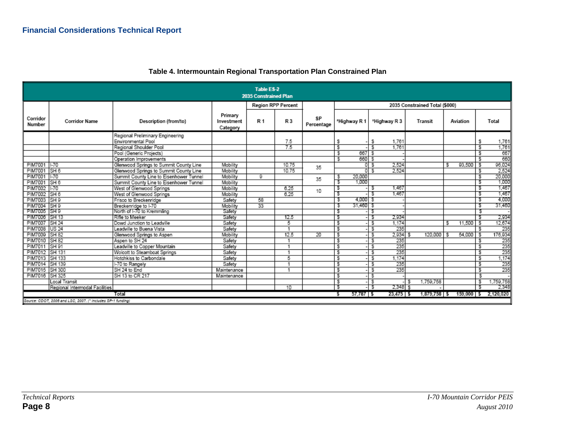<span id="page-11-0"></span>

| <b>Table ES-2</b><br>2035 Constrained Plan |                                                             |                                         |                                   |     |                           |                  |              |               |                                |              |               |                   |
|--------------------------------------------|-------------------------------------------------------------|-----------------------------------------|-----------------------------------|-----|---------------------------|------------------|--------------|---------------|--------------------------------|--------------|---------------|-------------------|
|                                            |                                                             |                                         |                                   |     | <b>Region RPP Percent</b> |                  |              |               | 2035 Constrained Total (\$000) |              |               |                   |
| Corridor<br>Number                         | <b>Corridor Name</b>                                        | Description (from/to)                   | Primary<br>Investment<br>Category | R 1 | R <sub>3</sub>            | SP<br>Percentage | *Highway R 1 | *Highway R 3  | Transit                        | Aviation     | Total         |                   |
|                                            |                                                             | Regional Preliminary Engineering        |                                   |     |                           |                  |              |               |                                |              |               |                   |
|                                            |                                                             | Environmental Pool                      |                                   |     | 7.5                       |                  | s            | 1,761         |                                |              | 1,761<br>s    |                   |
|                                            |                                                             | Regional Shoulder Pool                  |                                   |     | 7.5                       |                  | s            | 1,761<br>s    |                                |              | 1,761<br>s    |                   |
|                                            |                                                             | Pool (Generic Projects)                 |                                   |     |                           |                  | \$<br>667    |               |                                |              | 667<br>s      |                   |
|                                            |                                                             | Operation Improvements                  |                                   |     |                           |                  | 660<br>s.    |               |                                |              | s             | 660               |
| PIM7001 I-70                               |                                                             | Glenwood Springs to Summit County Line  | Mobility                          |     | 10.75                     | 35               |              | 2,524<br>s    |                                | 93,500<br>s  | 96,024<br>s   |                   |
| PIM7001                                    | SH 6                                                        | Glenwood Springs to Summit County Line  | Mobility                          |     | 10.75                     |                  |              | 2.524         |                                |              | 2,524         |                   |
| PIM7001                                    | $1 - 70$                                                    | Summit County Line to Eisenhower Tunnel | Mobility                          | 9   |                           | 35               | 20,000<br>\$ |               |                                |              | 20,000<br>s   |                   |
| PIM7001                                    | 5H6                                                         | Summit County Line to Eisenhower Tunnel | Mobility                          |     |                           |                  | 1,000<br>3   |               |                                |              | 1,000<br>s    |                   |
| PIM7002   I-70                             |                                                             | West of Glenwood Springs                | Mobility                          |     | 6.25                      | 10               | s            | 1.467         |                                |              | 1,467         |                   |
| PIM7002 SH 6                               |                                                             | West of Glenwood Springs                | Mobility                          |     | 6.25                      |                  | s            | 1.467         |                                |              | 1.467         |                   |
| PIM7003 ISH 9                              |                                                             | Frisco to Breckenridge                  | Safety                            | 58  |                           |                  | 4,000<br>\$  |               |                                |              | 4,000         |                   |
| PIM7004 SH 9                               |                                                             | Breckenridge to I-70                    | Mobility                          | 33  |                           |                  | 31,460<br>3  |               |                                |              | 31,460        |                   |
| PIM7005 SH 9                               |                                                             | North of I-70 to Kremmling              | Safety                            |     |                           |                  | s            |               |                                |              |               |                   |
| PIM7006 SH 13                              |                                                             | Rifle to Meeker                         | Safety                            |     | 12.5                      |                  | उ            | 2,934         |                                |              | 2,934         |                   |
| PIM7007 SH 24                              |                                                             | Dowd Junction to Leadville              | Safety                            |     | 5                         |                  | s            | 1.174         |                                | 11,500<br>s  | 12,674        |                   |
| PIM7008 US 24                              |                                                             | Leadville to Buena Vista                | Safety                            |     |                           |                  | s            | 235<br>s      |                                |              |               | 235               |
| PIM7009 SH 82                              |                                                             | Glenwood Springs to Aspen               | Mobility                          |     | 12.5                      | 20               | s            | 2,934         | 120,000                        | 54,000       | 176,934       |                   |
| PIM7010 SH 82                              |                                                             | Aspen to SH 24                          | Safety                            |     |                           |                  | s            | 235<br>s      |                                |              |               | 235               |
| PIM7011 SH 91                              |                                                             | Leadville to Copper Mountain            | Safety                            |     |                           |                  | s            | 235<br>s      |                                |              | s             | $\frac{235}{235}$ |
| PIM7012 SH 131                             |                                                             | Wolcott to Steamboat Springs            | Safety                            |     |                           |                  | s            | 235<br>s      |                                |              | s             |                   |
| PIM7013 SH 133                             |                                                             | Hotchkiss to Carbondale                 | Safety                            |     | 5                         |                  | s            | 1.174<br>s    |                                |              | 1,174<br>s    |                   |
| PIM7014 SH 139                             |                                                             | I-70 to Rangely                         | Safety                            |     |                           |                  | s            | 235<br>s      |                                |              | s             | 235               |
| PIM7015 SH 300                             |                                                             | SH 24 to End                            | Maintenance                       |     |                           |                  | s            | 235<br>s      |                                |              | s             | 235               |
| PIM7016 SH 325                             |                                                             | SH 13 to CR 217                         | Maintenance                       |     |                           |                  | s            | \$            |                                |              |               |                   |
|                                            | Local Transit                                               |                                         |                                   |     |                           |                  | s            | s             | 1,759,758<br>s                 |              | .759.758<br>s |                   |
|                                            | Regional Intermodal Facilities                              |                                         |                                   |     | 10                        |                  | s            | 2,348         |                                |              | 2.348         |                   |
|                                            |                                                             | Total                                   |                                   |     |                           |                  | $57,787$ S   | $23,475$   \$ | $1,879,758$   \$               | 159,000   \$ | 2,120,020     |                   |
|                                            | Source: CDOT, 2006 and LSC, 2007. (" includes SP-1 funding) |                                         |                                   |     |                           |                  |              |               |                                |              |               |                   |

#### **Table 4. Intermountain Regional Transportation Plan Constrained Plan**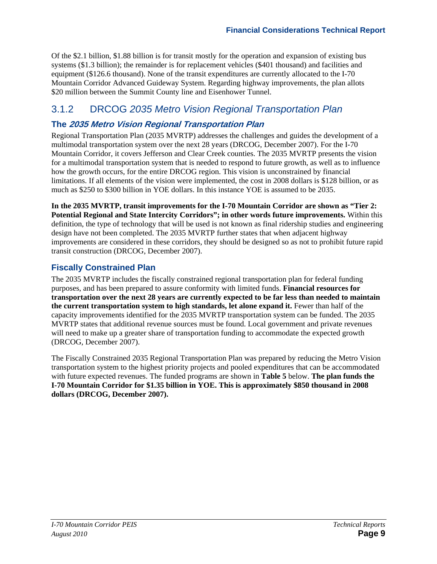Of the \$2.1 billion, \$1.88 billion is for transit mostly for the operation and expansion of existing bus systems (\$1.3 billion); the remainder is for replacement vehicles (\$401 thousand) and facilities and equipment (\$126.6 thousand). None of the transit expenditures are currently allocated to the I-70 Mountain Corridor Advanced Guideway System. Regarding highway improvements, the plan allots \$20 million between the Summit County line and Eisenhower Tunnel.

# <span id="page-12-0"></span>3.1.2 DRCOG *2035 Metro Vision Regional Transportation Plan*

### **The 2035 Metro Vision Regional Transportation Plan**

Regional Transportation Plan (2035 MVRTP) addresses the challenges and guides the development of a multimodal transportation system over the next 28 years (DRCOG, December 2007). For the I-70 Mountain Corridor, it covers Jefferson and Clear Creek counties. The 2035 MVRTP presents the vision for a multimodal transportation system that is needed to respond to future growth, as well as to influence how the growth occurs, for the entire DRCOG region. This vision is unconstrained by financial limitations. If all elements of the vision were implemented, the cost in 2008 dollars is \$128 billion, or as much as \$250 to \$300 billion in YOE dollars. In this instance YOE is assumed to be 2035.

**In the 2035 MVRTP, transit improvements for the I-70 Mountain Corridor are shown as "Tier 2: Potential Regional and State Intercity Corridors"; in other words future improvements.** Within this definition, the type of technology that will be used is not known as final ridership studies and engineering design have not been completed. The 2035 MVRTP further states that when adjacent highway improvements are considered in these corridors, they should be designed so as not to prohibit future rapid transit construction (DRCOG, December 2007).

### **Fiscally Constrained Plan**

The 2035 MVRTP includes the fiscally constrained regional transportation plan for federal funding purposes, and has been prepared to assure conformity with limited funds. **Financial resources for transportation over the next 28 years are currently expected to be far less than needed to maintain the current transportation system to high standards, let alone expand it.** Fewer than half of the capacity improvements identified for the 2035 MVRTP transportation system can be funded. The 2035 MVRTP states that additional revenue sources must be found. Local government and private revenues will need to make up a greater share of transportation funding to accommodate the expected growth (DRCOG, December 2007).

The Fiscally Constrained 2035 Regional Transportation Plan was prepared by reducing the Metro Vision transportation system to the highest priority projects and pooled expenditures that can be accommodated with future expected revenues. The funded programs are shown in **[Table 5](#page-13-0)** below. **The plan funds the I-70 Mountain Corridor for \$1.35 billion in YOE. This is approximately \$850 thousand in 2008 dollars (DRCOG, December 2007).**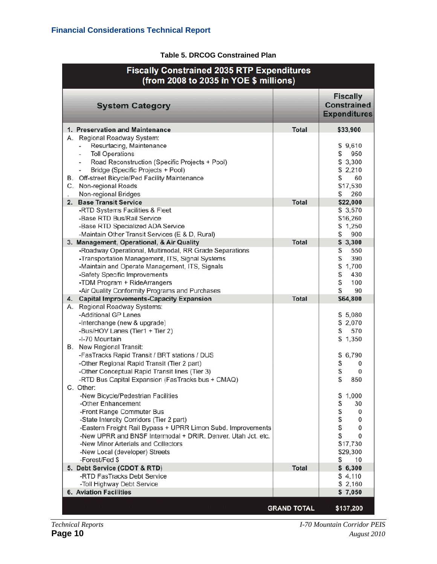<span id="page-13-0"></span>

| <b>Fiscally Constrained 2035 RTP Expenditures</b><br>(from 2008 to 2035 in YOE \$ millions)                                                                                                                                                                                                                                                                                                                                    |                    |                                                                                                                    |
|--------------------------------------------------------------------------------------------------------------------------------------------------------------------------------------------------------------------------------------------------------------------------------------------------------------------------------------------------------------------------------------------------------------------------------|--------------------|--------------------------------------------------------------------------------------------------------------------|
| <b>System Category</b>                                                                                                                                                                                                                                                                                                                                                                                                         |                    | <b>Fiscally</b><br><b>Constrained</b><br><b>Expenditures</b>                                                       |
| 1. Preservation and Maintenance                                                                                                                                                                                                                                                                                                                                                                                                | <b>Total</b>       | \$33,900                                                                                                           |
| A. Regional Roadway System:<br>Resurfacing, Maintenance<br><b>Toll Operations</b><br>Road Reconstruction (Specific Projects + Pool)<br>Bridge (Specific Projects + Pool)<br>$\overline{\phantom{0}}$<br>B. Off-street Bicycle/Ped Facility Maintenance<br>C. Non-regional Roads<br>Non-regional Bridges<br>×,                                                                                                                  |                    | \$9,610<br>\$<br>950<br>\$3,300<br>\$2,210<br>\$<br>60<br>\$17,530<br>S<br>260                                     |
| 2. Base Transit Service                                                                                                                                                                                                                                                                                                                                                                                                        | <b>Total</b>       | \$22,000                                                                                                           |
| -RTD Systems Facilities & Fleet<br>-Base RTD Bus/Rail Service<br>-Base RTD Specialized ADA Service<br>-Maintain Other Transit Services (E & D, Rural)                                                                                                                                                                                                                                                                          |                    | \$3,570<br>\$16,260<br>\$1,250<br>\$<br>900                                                                        |
| 3. Management, Operational, & Air Quality                                                                                                                                                                                                                                                                                                                                                                                      | Total              | \$3,300                                                                                                            |
| -Roadway Operational, Multimodal, RR Grade Separations<br>-Transportation Management, ITS, Signal Systems<br>-Maintain and Operate Management, ITS, Signals<br>-Safety Specific Improvements<br>-TDM Program + RideArrangers<br>-Air Quality Conformity Programs and Purchases                                                                                                                                                 |                    | 550<br>S<br>\$<br>390<br>\$1,700<br>\$<br>430<br>\$<br>100<br>\$<br>90                                             |
| 4. Capital Improvements-Capacity Expansion                                                                                                                                                                                                                                                                                                                                                                                     | <b>Total</b>       | \$64,800                                                                                                           |
| A. Regional Roadway Systems:<br>-Additional GP Lanes<br>-Interchange (new & upgrade)<br>-Bus/HOV Lanes (Tier1 + Tier 2)<br>-I-70 Mountain<br><b>B.</b> New Regional Transit:<br>-FasTracks Rapid Transit / BRT stations / DUS<br>-Other Regional Rapid Transit (Tier 2 part)<br>-Other Conceptual Rapid Transit lines (Tier 3)                                                                                                 |                    | \$5,080<br>\$ 2,070<br>\$<br>570<br>\$1,350<br>\$ 6,790<br>\$<br>0<br>\$<br>0                                      |
| -RTD Bus Capital Expansion (FasTracks bus + CMAQ)<br>C. Other:<br>-New Bicycle/Pedestrian Facilities<br>-Other Enhancement<br>-Front Range Commuter Bus<br>-State Intercity Corridors (Tier 2 part)<br>-Eastern Freight Rail Bypass + UPRR Limon Subd. Improvements<br>-New UPRR and BNSF Intermodal + DRIR, Denver, Utah Jct. etc.<br>-New Minor Arterials and Collectors<br>-New Local (developer) Streets<br>-Forest/Fed \$ |                    | \$<br>850<br>1,000<br>S<br>\$<br>30<br>\$<br>0<br>\$<br>0<br>\$<br>0<br>\$<br>0<br>\$17,730<br>\$29,300<br>S<br>10 |
| 5. Debt Service (CDOT & RTD)                                                                                                                                                                                                                                                                                                                                                                                                   | <b>Total</b>       | \$6,300                                                                                                            |
| -RTD FasTracks Debt Service<br>-Toll Highway Debt Service<br>6. Aviation Facilities                                                                                                                                                                                                                                                                                                                                            |                    | \$4,110<br>\$2,160<br>\$7,050                                                                                      |
|                                                                                                                                                                                                                                                                                                                                                                                                                                | <b>GRAND TOTAL</b> | \$137,200                                                                                                          |

#### **Table 5. DRCOG Constrained Plan**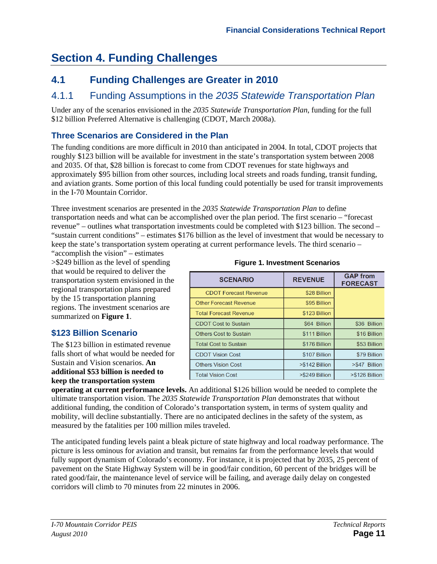# <span id="page-14-0"></span>**Section 4. Funding Challenges**

# **4.1 Funding Challenges are Greater in 2010**

## <span id="page-14-2"></span><span id="page-14-1"></span>4.1.1 Funding Assumptions in the *2035 Statewide Transportation Plan*

Under any of the scenarios envisioned in the *2035 Statewide Transportation Plan*, funding for the full \$12 billion Preferred Alternative is challenging (CDOT, March 2008a).

#### **Three Scenarios are Considered in the Plan**

The funding conditions are more difficult in 2010 than anticipated in 2004. In total, CDOT projects that roughly \$123 billion will be available for investment in the state's transportation system between 2008 and 2035. Of that, \$28 billion is forecast to come from CDOT revenues for state highways and approximately \$95 billion from other sources, including local streets and roads funding, transit funding, and aviation grants. Some portion of this local funding could potentially be used for transit improvements in the I-70 Mountain Corridor.

Three investment scenarios are presented in the *2035 Statewide Transportation Plan* to define transportation needs and what can be accomplished over the plan period. The first scenario – "forecast revenue" – outlines what transportation investments could be completed with \$123 billion. The second – "sustain current conditions" – estimates \$176 billion as the level of investment that would be necessary to keep the state's transportation system operating at current performance levels. The third scenario –

<span id="page-14-3"></span>"accomplish the vision" – estimates >\$249 billion as the level of spending that would be required to deliver the transportation system envisioned in the regional transportation plans prepared by the 15 transportation planning regions. The investment scenarios are summarized on **[Figure 1](#page-14-3)**.

#### **\$123 Billion Scenario**

The \$123 billion in estimated revenue falls short of what would be needed for Sustain and Vision scenarios. **An additional \$53 billion is needed to keep the transportation system** 

#### **Figure 1. Investment Scenarios**

| <b>SCENARIO</b>               | <b>REVENUE</b> | <b>GAP</b> from<br><b>FORECAST</b> |
|-------------------------------|----------------|------------------------------------|
| <b>CDOT Forecast Revenue</b>  | \$28 Billion   |                                    |
| <b>Other Forecast Revenue</b> | \$95 Billion   |                                    |
| <b>Total Forecast Revenue</b> | \$123 Billion  |                                    |
| <b>CDOT Cost to Sustain</b>   | \$64 Billion   | \$36 Billion                       |
| <b>Others Cost to Sustain</b> | \$111 Billion  | \$16 Billion                       |
| <b>Total Cost to Sustain</b>  | \$176 Billion  | \$53 Billion                       |
| <b>CDOT Vision Cost</b>       | \$107 Billion  | \$79 Billion                       |
| <b>Others Vision Cost</b>     | >\$142 Billion | >\$47 Billion                      |
| <b>Total Vision Cost</b>      | >\$249 Billion | >\$126 Billion                     |

**operating at current performance levels.** An additional \$126 billion would be needed to complete the ultimate transportation vision. The *2035 Statewide Transportation Plan* demonstrates that without additional funding, the condition of Colorado's transportation system, in terms of system quality and mobility, will decline substantially. There are no anticipated declines in the safety of the system, as measured by the fatalities per 100 million miles traveled.

The anticipated funding levels paint a bleak picture of state highway and local roadway performance. The picture is less ominous for aviation and transit, but remains far from the performance levels that would fully support dynamism of Colorado's economy. For instance, it is projected that by 2035, 25 percent of pavement on the State Highway System will be in good/fair condition, 60 percent of the bridges will be rated good/fair, the maintenance level of service will be failing, and average daily delay on congested corridors will climb to 70 minutes from 22 minutes in 2006.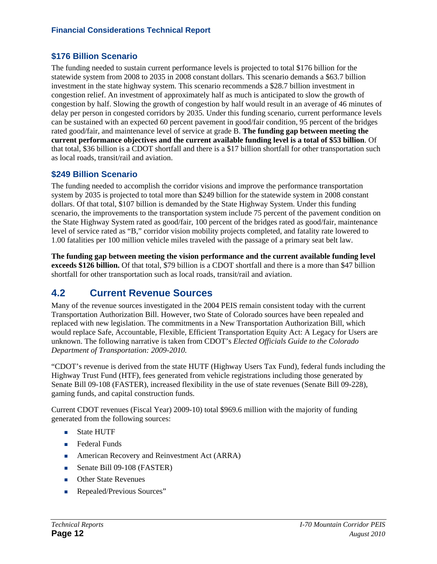#### **\$176 Billion Scenario**

The funding needed to sustain current performance levels is projected to total \$176 billion for the statewide system from 2008 to 2035 in 2008 constant dollars. This scenario demands a \$63.7 billion investment in the state highway system. This scenario recommends a \$28.7 billion investment in congestion relief. An investment of approximately half as much is anticipated to slow the growth of congestion by half. Slowing the growth of congestion by half would result in an average of 46 minutes of delay per person in congested corridors by 2035. Under this funding scenario, current performance levels can be sustained with an expected 60 percent pavement in good/fair condition, 95 percent of the bridges rated good/fair, and maintenance level of service at grade B. **The funding gap between meeting the current performance objectives and the current available funding level is a total of \$53 billion**. Of that total, \$36 billion is a CDOT shortfall and there is a \$17 billion shortfall for other transportation such as local roads, transit/rail and aviation.

#### **\$249 Billion Scenario**

The funding needed to accomplish the corridor visions and improve the performance transportation system by 2035 is projected to total more than \$249 billion for the statewide system in 2008 constant dollars. Of that total, \$107 billion is demanded by the State Highway System. Under this funding scenario, the improvements to the transportation system include 75 percent of the pavement condition on the State Highway System rated as good/fair, 100 percent of the bridges rated as good/fair, maintenance level of service rated as "B," corridor vision mobility projects completed, and fatality rate lowered to 1.00 fatalities per 100 million vehicle miles traveled with the passage of a primary seat belt law.

**The funding gap between meeting the vision performance and the current available funding level exceeds \$126 billion.** Of that total, \$79 billion is a CDOT shortfall and there is a more than \$47 billion shortfall for other transportation such as local roads, transit/rail and aviation.

## **4.2 Current Revenue Sources**

<span id="page-15-0"></span>Many of the revenue sources investigated in the 2004 PEIS remain consistent today with the current Transportation Authorization Bill. However, two State of Colorado sources have been repealed and replaced with new legislation. The commitments in a New Transportation Authorization Bill, which would replace Safe, Accountable, Flexible, Efficient Transportation Equity Act: A Legacy for Users are unknown. The following narrative is taken from CDOT's *Elected Officials Guide to the Colorado Department of Transportation: 2009-2010.*

"CDOT's revenue is derived from the state HUTF (Highway Users Tax Fund), federal funds including the Highway Trust Fund (HTF), fees generated from vehicle registrations including those generated by Senate Bill 09-108 (FASTER), increased flexibility in the use of state revenues (Senate Bill 09-228), gaming funds, and capital construction funds.

Current CDOT revenues (Fiscal Year) 2009-10) total \$969.6 million with the majority of funding generated from the following sources:

- State HUTF
- **Federal Funds**
- **American Recovery and Reinvestment Act (ARRA)**
- Senate Bill 09-108 (FASTER)
- Other State Revenues
- Repealed/Previous Sources"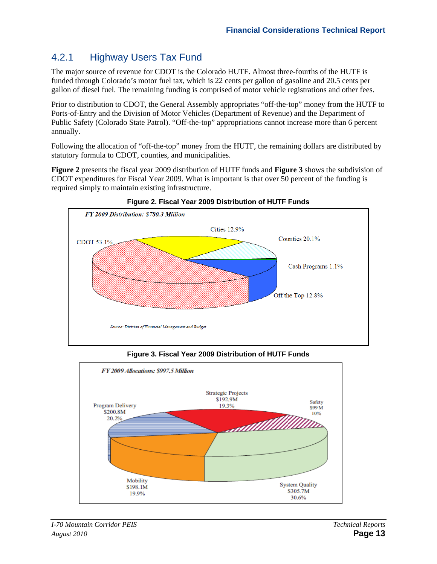# <span id="page-16-0"></span>4.2.1 Highway Users Tax Fund

The major source of revenue for CDOT is the Colorado HUTF. Almost three-fourths of the HUTF is funded through Colorado's motor fuel tax, which is 22 cents per gallon of gasoline and 20.5 cents per gallon of diesel fuel. The remaining funding is comprised of motor vehicle registrations and other fees.

Prior to distribution to CDOT, the General Assembly appropriates "off-the-top" money from the HUTF to Ports-of-Entry and the Division of Motor Vehicles (Department of Revenue) and the Department of Public Safety (Colorado State Patrol). "Off-the-top" appropriations cannot increase more than 6 percent annually.

Following the allocation of "off-the-top" money from the HUTF, the remaining dollars are distributed by statutory formula to CDOT, counties, and municipalities.

<span id="page-16-1"></span>**[Figure 2](#page-16-1)** presents the fiscal year 2009 distribution of HUTF funds and **[Figure 3](#page-16-2)** shows the subdivision of CDOT expenditures for Fiscal Year 2009. What is important is that over 50 percent of the funding is required simply to maintain existing infrastructure.



**Figure 2. Fiscal Year 2009 Distribution of HUTF Funds** 

**Figure 3. Fiscal Year 2009 Distribution of HUTF Funds** 

<span id="page-16-2"></span>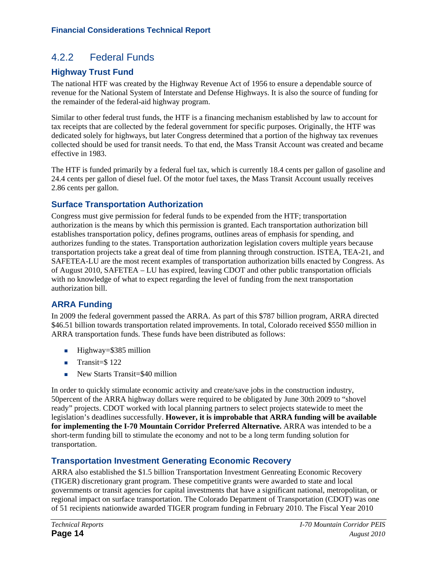# <span id="page-17-0"></span>4.2.2 Federal Funds

#### **Highway Trust Fund**

The national HTF was created by the Highway Revenue Act of 1956 to ensure a dependable source of revenue for the National System of Interstate and Defense Highways. It is also the source of funding for the remainder of the federal-aid highway program.

Similar to other federal trust funds, the HTF is a financing mechanism established by law to account for tax receipts that are collected by the federal government for specific purposes. Originally, the HTF was dedicated solely for highways, but later Congress determined that a portion of the highway tax revenues collected should be used for transit needs. To that end, the Mass Transit Account was created and became effective in 1983.

The HTF is funded primarily by a federal fuel tax, which is currently 18.4 cents per gallon of gasoline and 24.4 cents per gallon of diesel fuel. Of the motor fuel taxes, the Mass Transit Account usually receives 2.86 cents per gallon.

#### **Surface Transportation Authorization**

Congress must give permission for federal funds to be expended from the HTF; transportation authorization is the means by which this permission is granted. Each transportation authorization bill establishes transportation policy, defines programs, outlines areas of emphasis for spending, and authorizes funding to the states. Transportation authorization legislation covers multiple years because transportation projects take a great deal of time from planning through construction. ISTEA, TEA-21, and SAFETEA-LU are the most recent examples of transportation authorization bills enacted by Congress. As of August 2010, SAFETEA – LU has expired, leaving CDOT and other public transportation officials with no knowledge of what to expect regarding the level of funding from the next transportation authorization bill.

#### **ARRA Funding**

In 2009 the federal government passed the ARRA. As part of this \$787 billion program, ARRA directed \$46.51 billion towards transportation related improvements. In total, Colorado received \$550 million in ARRA transportation funds. These funds have been distributed as follows:

- $\blacksquare$  Highway=\$385 million
- $\blacksquare$  Transit=\$ 122
- New Starts Transit=\$40 million

In order to quickly stimulate economic activity and create/save jobs in the construction industry, 50percent of the ARRA highway dollars were required to be obligated by June 30th 2009 to "shovel ready" projects. CDOT worked with local planning partners to select projects statewide to meet the legislation's deadlines successfully. **However, it is improbable that ARRA funding will be available for implementing the I-70 Mountain Corridor Preferred Alternative.** ARRA was intended to be a short-term funding bill to stimulate the economy and not to be a long term funding solution for transportation.

#### **Transportation Investment Generating Economic Recovery**

ARRA also established the \$1.5 billion Transportation Investment Genreating Economic Recovery (TIGER) discretionary grant program. These competitive grants were awarded to state and local governments or transit agencies for capital investments that have a significant national, metropolitan, or regional impact on surface transportation. The Colorado Department of Transportation (CDOT) was one of 51 recipients nationwide awarded TIGER program funding in February 2010. The Fiscal Year 2010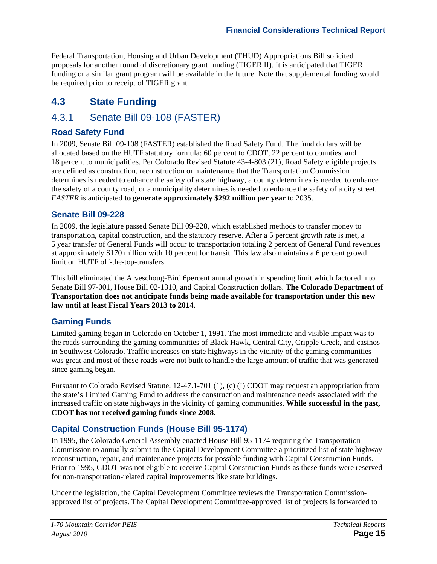Federal Transportation, Housing and Urban Development (THUD) Appropriations Bill solicited proposals for another round of discretionary grant funding (TIGER II). It is anticipated that TIGER funding or a similar grant program will be available in the future. Note that supplemental funding would be required prior to receipt of TIGER grant.

### <span id="page-18-0"></span>**4.3 State Funding**

#### <span id="page-18-1"></span>4.3.1 Senate Bill 09-108 (FASTER)

#### **Road Safety Fund**

In 2009, Senate Bill 09-108 (FASTER) established the Road Safety Fund. The fund dollars will be allocated based on the HUTF statutory formula: 60 percent to CDOT, 22 percent to counties, and 18 percent to municipalities. Per Colorado Revised Statute 43-4-803 (21), Road Safety eligible projects are defined as construction, reconstruction or maintenance that the Transportation Commission determines is needed to enhance the safety of a state highway, a county determines is needed to enhance the safety of a county road, or a municipality determines is needed to enhance the safety of a city street. *FASTER* is anticipated **to generate approximately \$292 million per year** to 2035.

#### **Senate Bill 09-228**

In 2009, the legislature passed Senate Bill 09-228, which established methods to transfer money to transportation, capital construction, and the statutory reserve. After a 5 percent growth rate is met, a 5 year transfer of General Funds will occur to transportation totaling 2 percent of General Fund revenues at approximately \$170 million with 10 percent for transit. This law also maintains a 6 percent growth limit on HUTF off-the-top-transfers.

This bill eliminated the Arveschoug-Bird 6percent annual growth in spending limit which factored into Senate Bill 97-001, House Bill 02-1310, and Capital Construction dollars. **The Colorado Department of Transportation does not anticipate funds being made available for transportation under this new law until at least Fiscal Years 2013 to 2014**.

#### **Gaming Funds**

Limited gaming began in Colorado on October 1, 1991. The most immediate and visible impact was to the roads surrounding the gaming communities of Black Hawk, Central City, Cripple Creek, and casinos in Southwest Colorado. Traffic increases on state highways in the vicinity of the gaming communities was great and most of these roads were not built to handle the large amount of traffic that was generated since gaming began.

Pursuant to Colorado Revised Statute, 12-47.1-701 (1), (c) (I) CDOT may request an appropriation from the state's Limited Gaming Fund to address the construction and maintenance needs associated with the increased traffic on state highways in the vicinity of gaming communities. **While successful in the past, CDOT has not received gaming funds since 2008.** 

#### **Capital Construction Funds (House Bill 95-1174)**

In 1995, the Colorado General Assembly enacted House Bill 95-1174 requiring the Transportation Commission to annually submit to the Capital Development Committee a prioritized list of state highway reconstruction, repair, and maintenance projects for possible funding with Capital Construction Funds. Prior to 1995, CDOT was not eligible to receive Capital Construction Funds as these funds were reserved for non-transportation-related capital improvements like state buildings.

Under the legislation, the Capital Development Committee reviews the Transportation Commissionapproved list of projects. The Capital Development Committee-approved list of projects is forwarded to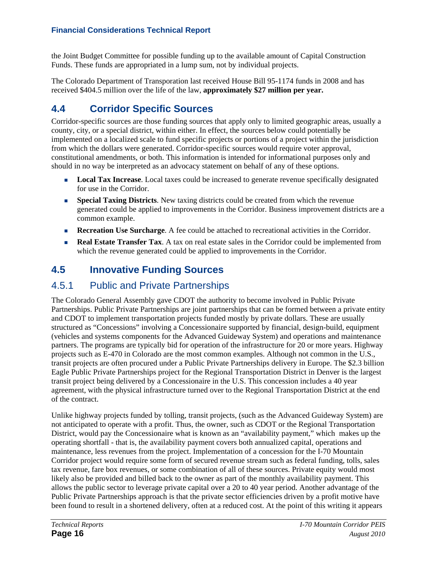the Joint Budget Committee for possible funding up to the available amount of Capital Construction Funds. These funds are appropriated in a lump sum, not by individual projects.

The Colorado Department of Transporation last received House Bill 95-1174 funds in 2008 and has received \$404.5 million over the life of the law, **approximately \$27 million per year.** 

# **4.4 Corridor Specific Sources**

<span id="page-19-0"></span>Corridor-specific sources are those funding sources that apply only to limited geographic areas, usually a county, city, or a special district, within either. In effect, the sources below could potentially be implemented on a localized scale to fund specific projects or portions of a project within the jurisdiction from which the dollars were generated. Corridor-specific sources would require voter approval, constitutional amendments, or both. This information is intended for informational purposes only and should in no way be interpreted as an advocacy statement on behalf of any of these options.

- **Local Tax Increase.** Local taxes could be increased to generate revenue specifically designated for use in the Corridor.
- **Special Taxing Districts**. New taxing districts could be created from which the revenue generated could be applied to improvements in the Corridor. Business improvement districts are a common example.
- **Recreation Use Surcharge.** A fee could be attached to recreational activities in the Corridor.
- **Real Estate Transfer Tax**. A tax on real estate sales in the Corridor could be implemented from which the revenue generated could be applied to improvements in the Corridor.

# <span id="page-19-1"></span>**4.5 Innovative Funding Sources**

### <span id="page-19-2"></span>4.5.1 Public and Private Partnerships

The Colorado General Assembly gave CDOT the authority to become involved in Public Private Partnerships. Public Private Partnerships are joint partnerships that can be formed between a private entity and CDOT to implement transportation projects funded mostly by private dollars. These are usually structured as "Concessions" involving a Concessionaire supported by financial, design-build, equipment (vehicles and systems components for the Advanced Guideway System) and operations and maintenance partners. The programs are typically bid for operation of the infrastructure for 20 or more years. Highway projects such as E-470 in Colorado are the most common examples. Although not common in the U.S., transit projects are often procured under a Public Private Partnerships delivery in Europe. The \$2.3 billion Eagle Public Private Partnerships project for the Regional Transportation District in Denver is the largest transit project being delivered by a Concessionaire in the U.S. This concession includes a 40 year agreement, with the physical infrastructure turned over to the Regional Transportation District at the end of the contract.

Unlike highway projects funded by tolling, transit projects, (such as the Advanced Guideway System) are not anticipated to operate with a profit. Thus, the owner, such as CDOT or the Regional Transportation District, would pay the Concessionaire what is known as an "availability payment," which makes up the operating shortfall - that is, the availability payment covers both annualized capital, operations and maintenance, less revenues from the project. Implementation of a concession for the I-70 Mountain Corridor project would require some form of secured revenue stream such as federal funding, tolls, sales tax revenue, fare box revenues, or some combination of all of these sources. Private equity would most likely also be provided and billed back to the owner as part of the monthly availability payment. This allows the public sector to leverage private capital over a 20 to 40 year period. Another advantage of the Public Private Partnerships approach is that the private sector efficiencies driven by a profit motive have been found to result in a shortened delivery, often at a reduced cost. At the point of this writing it appears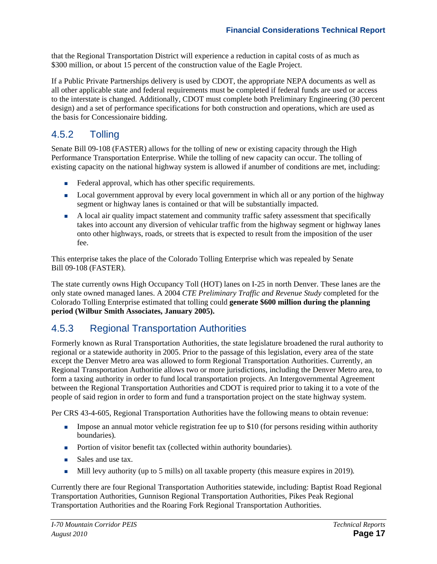that the Regional Transportation District will experience a reduction in capital costs of as much as \$300 million, or about 15 percent of the construction value of the Eagle Project.

If a Public Private Partnerships delivery is used by CDOT, the appropriate NEPA documents as well as all other applicable state and federal requirements must be completed if federal funds are used or access to the interstate is changed. Additionally, CDOT must complete both Preliminary Engineering (30 percent design) and a set of performance specifications for both construction and operations, which are used as the basis for Concessionaire bidding.

# <span id="page-20-0"></span>4.5.2 Tolling

Senate Bill 09-108 (FASTER) allows for the tolling of new or existing capacity through the High Performance Transportation Enterprise. While the tolling of new capacity can occur. The tolling of existing capacity on the national highway system is allowed if anumber of conditions are met, including:

- Federal approval, which has other specific requirements.
- **Local government approval by every local government in which all or any portion of the highway** segment or highway lanes is contained or that will be substantially impacted.
- A local air quality impact statement and community traffic safety assessment that specifically takes into account any diversion of vehicular traffic from the highway segment or highway lanes onto other highways, roads, or streets that is expected to result from the imposition of the user fee.

This enterprise takes the place of the Colorado Tolling Enterprise which was repealed by Senate Bill 09-108 (FASTER).

The state currently owns High Occupancy Toll (HOT) lanes on I-25 in north Denver. These lanes are the only state owned managed lanes. A 2004 *CTE Preliminary Traffic and Revenue Study* completed for the Colorado Tolling Enterprise estimated that tolling could **generate \$600 million during the planning period (Wilbur Smith Associates, January 2005).** 

# <span id="page-20-1"></span>4.5.3 Regional Transportation Authorities

Formerly known as Rural Transportation Authorities, the state legislature broadened the rural authority to regional or a statewide authority in 2005. Prior to the passage of this legislation, every area of the state except the Denver Metro area was allowed to form Regional Transportation Authorities. Currently, an Regional Transportation Authoritie allows two or more jurisdictions, including the Denver Metro area, to form a taxing authority in order to fund local transportation projects. An Intergovernmental Agreement between the Regional Transportation Authorities and CDOT is required prior to taking it to a vote of the people of said region in order to form and fund a transportation project on the state highway system.

Per CRS 43-4-605, Regional Transportation Authorities have the following means to obtain revenue:

- **IMPO** Impose an annual motor vehicle registration fee up to \$10 (for persons residing within authority boundaries)*.*
- Portion of visitor benefit tax (collected within authority boundaries).
- Sales and use tax.
- Mill levy authority (up to 5 mills) on all taxable property (this measure expires in 2019)*.*

Currently there are four Regional Transportation Authorities statewide, including: Baptist Road Regional Transportation Authorities, Gunnison Regional Transportation Authorities, Pikes Peak Regional Transportation Authorities and the Roaring Fork Regional Transportation Authorities.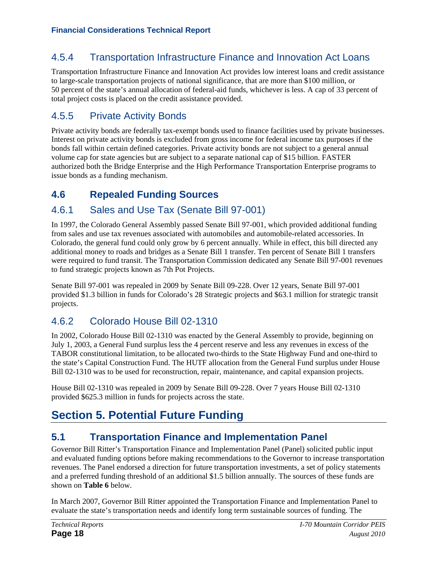## <span id="page-21-0"></span>4.5.4 Transportation Infrastructure Finance and Innovation Act Loans

Transportation Infrastructure Finance and Innovation Act provides low interest loans and credit assistance to large-scale transportation projects of national significance, that are more than \$100 million, or 50 percent of the state's annual allocation of federal-aid funds, whichever is less. A cap of 33 percent of total project costs is placed on the credit assistance provided.

# <span id="page-21-1"></span>4.5.5 Private Activity Bonds

Private activity bonds are federally tax-exempt bonds used to finance facilities used by private businesses. Interest on private activity bonds is excluded from gross income for federal income tax purposes if the bonds fall within certain defined categories. Private activity bonds are not subject to a general annual volume cap for state agencies but are subject to a separate national cap of \$15 billion. FASTER authorized both the Bridge Enterprise and the High Performance Transportation Enterprise programs to issue bonds as a funding mechanism.

# <span id="page-21-2"></span>**4.6 Repealed Funding Sources**

### <span id="page-21-3"></span>4.6.1 Sales and Use Tax (Senate Bill 97-001)

In 1997, the Colorado General Assembly passed Senate Bill 97-001, which provided additional funding from sales and use tax revenues associated with automobiles and automobile-related accessories. In Colorado, the general fund could only grow by 6 percent annually. While in effect, this bill directed any additional money to roads and bridges as a Senate Bill 1 transfer. Ten percent of Senate Bill 1 transfers were required to fund transit. The Transportation Commission dedicated any Senate Bill 97-001 revenues to fund strategic projects known as 7th Pot Projects.

Senate Bill 97-001 was repealed in 2009 by Senate Bill 09-228. Over 12 years, Senate Bill 97-001 provided \$1.3 billion in funds for Colorado's 28 Strategic projects and \$63.1 million for strategic transit projects.

## <span id="page-21-4"></span>4.6.2 Colorado House Bill 02-1310

In 2002, Colorado House Bill 02-1310 was enacted by the General Assembly to provide, beginning on July 1, 2003, a General Fund surplus less the 4 percent reserve and less any revenues in excess of the TABOR constitutional limitation, to be allocated two-thirds to the State Highway Fund and one-third to the state's Capital Construction Fund. The HUTF allocation from the General Fund surplus under House Bill 02-1310 was to be used for reconstruction, repair, maintenance, and capital expansion projects.

House Bill 02-1310 was repealed in 2009 by Senate Bill 09-228. Over 7 years House Bill 02-1310 provided \$625.3 million in funds for projects across the state.

# <span id="page-21-5"></span>**Section 5. Potential Future Funding**

# **5.1 Transportation Finance and Implementation Panel**

<span id="page-21-6"></span>Governor Bill Ritter's Transportation Finance and Implementation Panel (Panel) solicited public input and evaluated funding options before making recommendations to the Governor to increase transportation revenues. The Panel endorsed a direction for future transportation investments, a set of policy statements and a preferred funding threshold of an additional \$1.5 billion annually. The sources of these funds are shown on **[Table 6](#page-22-2)** below.

In March 2007, Governor Bill Ritter appointed the Transportation Finance and Implementation Panel to evaluate the state's transportation needs and identify long term sustainable sources of funding. The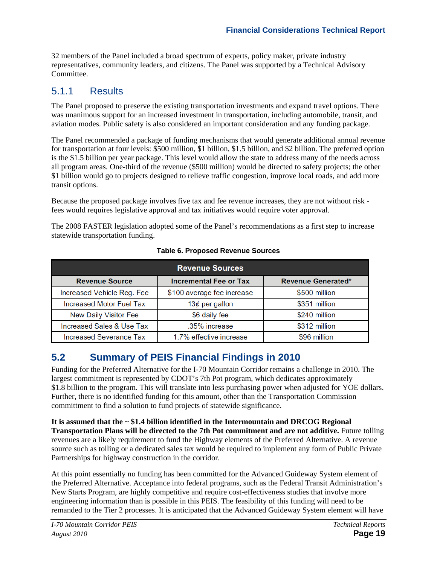32 members of the Panel included a broad spectrum of experts, policy maker, private industry representatives, community leaders, and citizens. The Panel was supported by a Technical Advisory **Committee** 

## <span id="page-22-0"></span>5.1.1 Results

The Panel proposed to preserve the existing transportation investments and expand travel options. There was unanimous support for an increased investment in transportation, including automobile, transit, and aviation modes. Public safety is also considered an important consideration and any funding package.

The Panel recommended a package of funding mechanisms that would generate additional annual revenue for transportation at four levels: \$500 million, \$1 billion, \$1.5 billion, and \$2 billion. The preferred option is the \$1.5 billion per year package. This level would allow the state to address many of the needs across all program areas. One-third of the revenue (\$500 million) would be directed to safety projects; the other \$1 billion would go to projects designed to relieve traffic congestion, improve local roads, and add more transit options.

Because the proposed package involves five tax and fee revenue increases, they are not without risk fees would requires legislative approval and tax initiatives would require voter approval.

The 2008 FASTER legislation adopted some of the Panel's recommendations as a first step to increase statewide transportation funding.

<span id="page-22-2"></span>

| <b>Revenue Sources</b>               |                            |               |  |  |  |
|--------------------------------------|----------------------------|---------------|--|--|--|
| <b>Revenue Source</b>                | Revenue Generated*         |               |  |  |  |
| Increased Vehicle Reg. Fee           | \$100 average fee increase | \$500 million |  |  |  |
| <b>Increased Motor Fuel Tax</b>      | 13 $¢$ per gallon          | \$351 million |  |  |  |
| <b>New Daily Visitor Fee</b>         | \$6 daily fee              | \$240 million |  |  |  |
| <b>Increased Sales &amp; Use Tax</b> | .35% increase              | \$312 million |  |  |  |
| <b>Increased Severance Tax</b>       | 1.7% effective increase    | \$96 million  |  |  |  |

#### **Table 6. Proposed Revenue Sources**

## **5.2 Summary of PEIS Financial Findings in 2010**

<span id="page-22-1"></span>Funding for the Preferred Alternative for the I-70 Mountain Corridor remains a challenge in 2010. The largest commitment is represented by CDOT's 7th Pot program, which dedicates approximately \$1.8 billion to the program. This will translate into less purchasing power when adjusted for YOE dollars. Further, there is no identified funding for this amount, other than the Transportation Commission committment to find a solution to fund projects of statewide significance.

**It is assumed that the ~ \$1.4 billion identified in the Intermountain and DRCOG Regional Transportation Plans will be directed to the 7th Pot commitment and are not additive.** Future tolling revenues are a likely requirement to fund the Highway elements of the Preferred Alternative. A revenue source such as tolling or a dedicated sales tax would be required to implement any form of Public Private Partnerships for highway construction in the corridor.

At this point essentially no funding has been committed for the Advanced Guideway System element of the Preferred Alternative. Acceptance into federal programs, such as the Federal Transit Administration's New Starts Program, are highly competitive and require cost-effectiveness studies that involve more engineering information than is possible in this PEIS. The feasibility of this funding will need to be remanded to the Tier 2 processes. It is anticipated that the Advanced Guideway System element will have